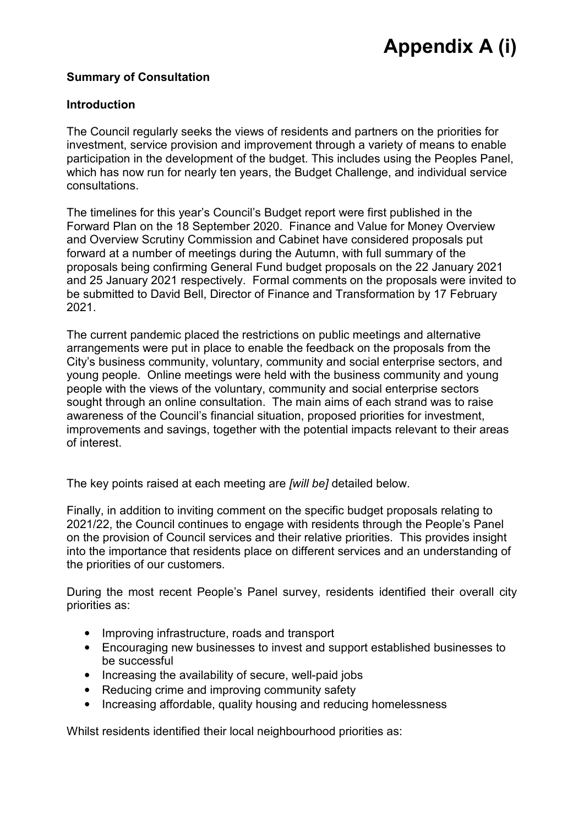### **Summary of Consultation**

#### **Introduction**

The Council regularly seeks the views of residents and partners on the priorities for investment, service provision and improvement through a variety of means to enable participation in the development of the budget. This includes using the Peoples Panel, which has now run for nearly ten years, the Budget Challenge, and individual service consultations.

The timelines for this year's Council's Budget report were first published in the Forward Plan on the 18 September 2020. Finance and Value for Money Overview and Overview Scrutiny Commission and Cabinet have considered proposals put forward at a number of meetings during the Autumn, with full summary of the proposals being confirming General Fund budget proposals on the 22 January 2021 and 25 January 2021 respectively. Formal comments on the proposals were invited to be submitted to David Bell, Director of Finance and Transformation by 17 February 2021.

The current pandemic placed the restrictions on public meetings and alternative arrangements were put in place to enable the feedback on the proposals from the City's business community, voluntary, community and social enterprise sectors, and young people. Online meetings were held with the business community and young people with the views of the voluntary, community and social enterprise sectors sought through an online consultation. The main aims of each strand was to raise awareness of the Council's financial situation, proposed priorities for investment, improvements and savings, together with the potential impacts relevant to their areas of interest.

The key points raised at each meeting are *[will be]* detailed below.

Finally, in addition to inviting comment on the specific budget proposals relating to 2021/22, the Council continues to engage with residents through the People's Panel on the provision of Council services and their relative priorities. This provides insight into the importance that residents place on different services and an understanding of the priorities of our customers.

During the most recent People's Panel survey, residents identified their overall city priorities as:

- Improving infrastructure, roads and transport
- Encouraging new businesses to invest and support established businesses to be successful
- Increasing the availability of secure, well-paid jobs
- Reducing crime and improving community safety
- Increasing affordable, quality housing and reducing homelessness

Whilst residents identified their local neighbourhood priorities as: